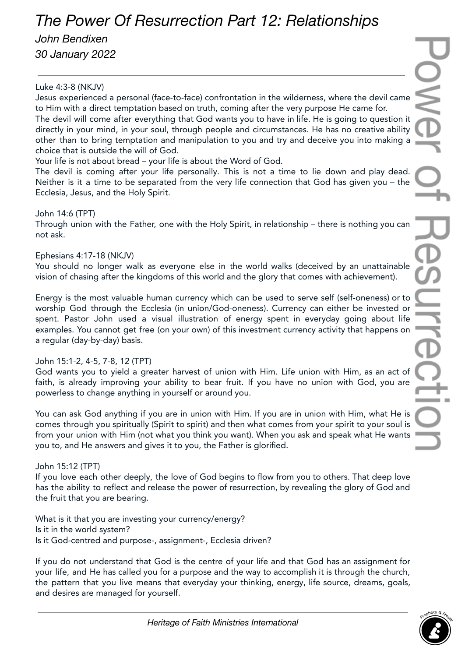# *The Power Of Resurrection Part 12: Relationships*

## *John Bendixen*

*30 January 2022*

## Luke 4:3-8 (NKJV)

Jesus experienced a personal (face-to-face) confrontation in the wilderness, where the devil came to Him with a direct temptation based on truth, coming after the very purpose He came for. The devil will come after everything that God wants you to have in life. He is going to question it directly in your mind, in your soul, through people and circumstances. He has no creative ability other than to bring temptation and manipulation to you and try and deceive you into making a choice that is outside the will of God.

Your life is not about bread – your life is about the Word of God.

The devil is coming after your life personally. This is not a time to lie down and play dead. Neither is it a time to be separated from the very life connection that God has given you – the Ecclesia, Jesus, and the Holy Spirit.

## John 14:6 (TPT)

Through union with the Father, one with the Holy Spirit, in relationship – there is nothing you can not ask.

#### Ephesians 4:17-18 (NKJV)

You should no longer walk as everyone else in the world walks (deceived by an unattainable vision of chasing after the kingdoms of this world and the glory that comes with achievement).

Energy is the most valuable human currency which can be used to serve self (self-oneness) or to worship God through the Ecclesia (in union/God-oneness). Currency can either be invested or spent. Pastor John used a visual illustration of energy spent in everyday going about life examples. You cannot get free (on your own) of this investment currency activity that happens on a regular (day-by-day) basis.

## John 15:1-2, 4-5, 7-8, 12 (TPT)

God wants you to yield a greater harvest of union with Him. Life union with Him, as an act of faith, is already improving your ability to bear fruit. If you have no union with God, you are powerless to change anything in yourself or around you.

You can ask God anything if you are in union with Him. If you are in union with Him, what He is comes through you spiritually (Spirit to spirit) and then what comes from your spirit to your soul is from your union with Him (not what you think you want). When you ask and speak what He wants you to, and He answers and gives it to you, the Father is glorified.

## John 15:12 (TPT)

If you love each other deeply, the love of God begins to flow from you to others. That deep love has the ability to reflect and release the power of resurrection, by revealing the glory of God and the fruit that you are bearing.

What is it that you are investing your currency/energy? Is it in the world system? Is it God-centred and purpose-, assignment-, Ecclesia driven?

If you do not understand that God is the centre of your life and that God has an assignment for your life, and He has called you for a purpose and the way to accomplish it is through the church, the pattern that you live means that everyday your thinking, energy, life source, dreams, goals, and desires are managed for yourself.